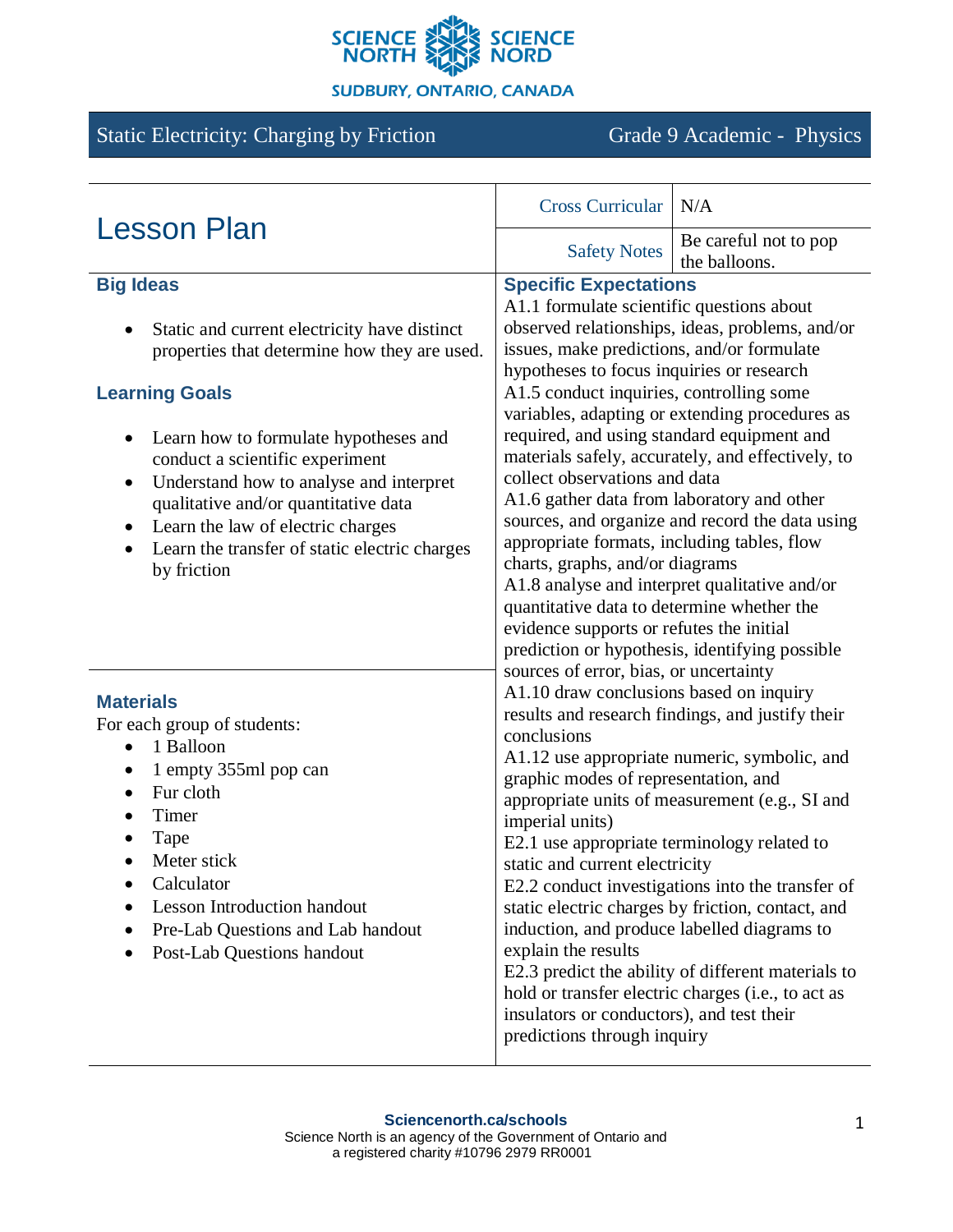

#### **SUDBURY, ONTARIO, CANADA**

# Static Electricity: Charging by Friction Grade 9 Academic - Physics

| <b>Lesson Plan</b>                                                                                                                                                                                                                                                                                                                                                                                                                      | <b>Cross Curricular</b>                                                                                                                                                                                                                                                                                                                                                                                                                                                                                                                                                                                                                                                                                                                                                                                                                                                                                                                                                                                                                                                                                                                                                                                                                                                                                                                                                                                                                                                                                                                                                                                                | N/A                                    |
|-----------------------------------------------------------------------------------------------------------------------------------------------------------------------------------------------------------------------------------------------------------------------------------------------------------------------------------------------------------------------------------------------------------------------------------------|------------------------------------------------------------------------------------------------------------------------------------------------------------------------------------------------------------------------------------------------------------------------------------------------------------------------------------------------------------------------------------------------------------------------------------------------------------------------------------------------------------------------------------------------------------------------------------------------------------------------------------------------------------------------------------------------------------------------------------------------------------------------------------------------------------------------------------------------------------------------------------------------------------------------------------------------------------------------------------------------------------------------------------------------------------------------------------------------------------------------------------------------------------------------------------------------------------------------------------------------------------------------------------------------------------------------------------------------------------------------------------------------------------------------------------------------------------------------------------------------------------------------------------------------------------------------------------------------------------------------|----------------------------------------|
|                                                                                                                                                                                                                                                                                                                                                                                                                                         | <b>Safety Notes</b>                                                                                                                                                                                                                                                                                                                                                                                                                                                                                                                                                                                                                                                                                                                                                                                                                                                                                                                                                                                                                                                                                                                                                                                                                                                                                                                                                                                                                                                                                                                                                                                                    | Be careful not to pop<br>the balloons. |
| <b>Big Ideas</b><br>Static and current electricity have distinct<br>properties that determine how they are used.<br><b>Learning Goals</b><br>Learn how to formulate hypotheses and<br>conduct a scientific experiment<br>Understand how to analyse and interpret<br>$\bullet$<br>qualitative and/or quantitative data<br>Learn the law of electric charges<br>$\bullet$<br>Learn the transfer of static electric charges<br>by friction | <b>Specific Expectations</b><br>A1.1 formulate scientific questions about<br>observed relationships, ideas, problems, and/or<br>issues, make predictions, and/or formulate<br>hypotheses to focus inquiries or research<br>A1.5 conduct inquiries, controlling some<br>variables, adapting or extending procedures as<br>required, and using standard equipment and<br>materials safely, accurately, and effectively, to<br>collect observations and data<br>A1.6 gather data from laboratory and other<br>sources, and organize and record the data using<br>appropriate formats, including tables, flow<br>charts, graphs, and/or diagrams<br>A1.8 analyse and interpret qualitative and/or<br>quantitative data to determine whether the<br>evidence supports or refutes the initial<br>prediction or hypothesis, identifying possible<br>sources of error, bias, or uncertainty<br>A1.10 draw conclusions based on inquiry<br>results and research findings, and justify their<br>conclusions<br>A1.12 use appropriate numeric, symbolic, and<br>graphic modes of representation, and<br>appropriate units of measurement (e.g., SI and<br>imperial units)<br>E2.1 use appropriate terminology related to<br>static and current electricity<br>E2.2 conduct investigations into the transfer of<br>static electric charges by friction, contact, and<br>induction, and produce labelled diagrams to<br>explain the results<br>E2.3 predict the ability of different materials to<br>hold or transfer electric charges (i.e., to act as<br>insulators or conductors), and test their<br>predictions through inquiry |                                        |
| <b>Materials</b><br>For each group of students:<br>1 Balloon<br>1 empty 355ml pop can<br>٠<br>Fur cloth<br>$\bullet$<br>Timer<br>$\bullet$<br>Tape<br>Meter stick<br>Calculator<br><b>Lesson Introduction handout</b><br>Pre-Lab Questions and Lab handout<br>Post-Lab Questions handout                                                                                                                                                |                                                                                                                                                                                                                                                                                                                                                                                                                                                                                                                                                                                                                                                                                                                                                                                                                                                                                                                                                                                                                                                                                                                                                                                                                                                                                                                                                                                                                                                                                                                                                                                                                        |                                        |